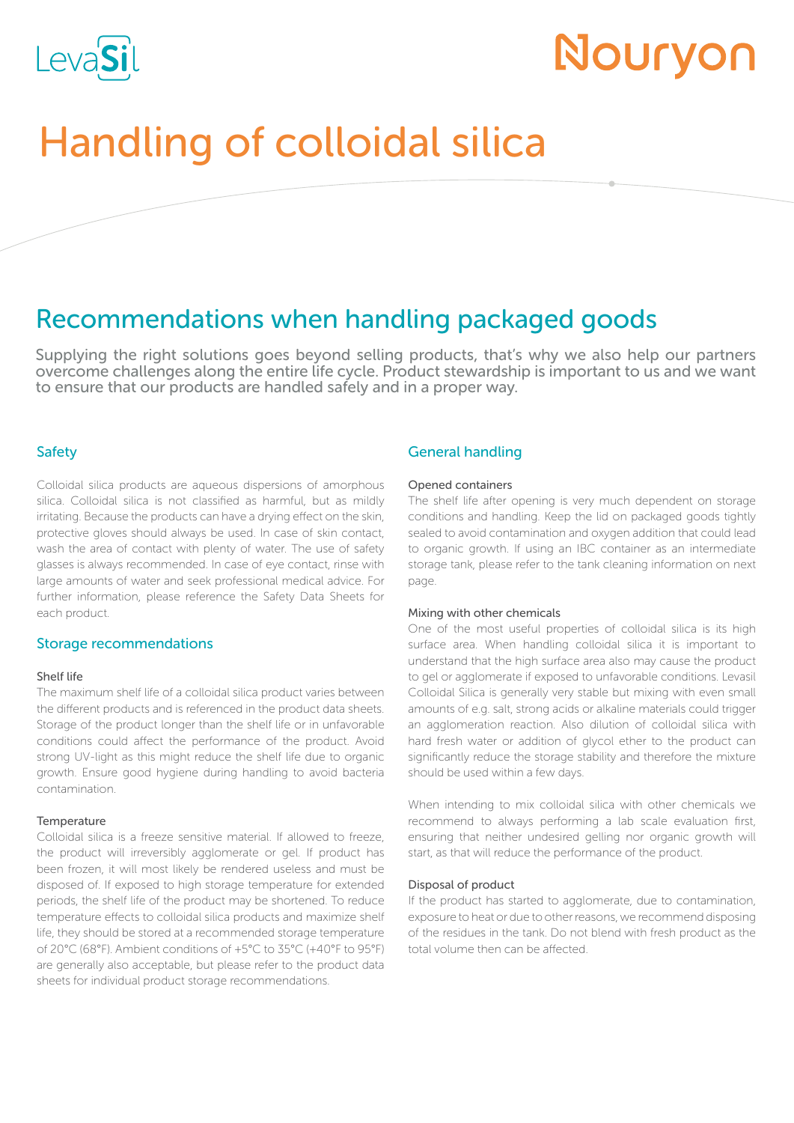

# Nouryon

# Handling of colloidal silica

# Recommendations when handling packaged goods

Supplying the right solutions goes beyond selling products, that's why we also help our partners overcome challenges along the entire life cycle. Product stewardship is important to us and we want to ensure that our products are handled safely and in a proper way.

## Safety

Colloidal silica products are aqueous dispersions of amorphous silica. Colloidal silica is not classified as harmful, but as mildly irritating. Because the products can have a drying effect on the skin, protective gloves should always be used. In case of skin contact, wash the area of contact with plenty of water. The use of safety glasses is always recommended. In case of eye contact, rinse with large amounts of water and seek professional medical advice. For further information, please reference the Safety Data Sheets for each product.

### Storage recommendations

#### Shelf life

The maximum shelf life of a colloidal silica product varies between the different products and is referenced in the product data sheets. Storage of the product longer than the shelf life or in unfavorable conditions could affect the performance of the product. Avoid strong UV-light as this might reduce the shelf life due to organic growth. Ensure good hygiene during handling to avoid bacteria contamination.

#### **Temperature**

Colloidal silica is a freeze sensitive material. If allowed to freeze, the product will irreversibly agglomerate or gel. If product has been frozen, it will most likely be rendered useless and must be disposed of. If exposed to high storage temperature for extended periods, the shelf life of the product may be shortened. To reduce temperature effects to colloidal silica products and maximize shelf life, they should be stored at a recommended storage temperature of 20°C (68°F). Ambient conditions of +5°C to 35°C (+40°F to 95°F) are generally also acceptable, but please refer to the product data sheets for individual product storage recommendations.

### General handling

#### Opened containers

The shelf life after opening is very much dependent on storage conditions and handling. Keep the lid on packaged goods tightly sealed to avoid contamination and oxygen addition that could lead to organic growth. If using an IBC container as an intermediate storage tank, please refer to the tank cleaning information on next page.

#### Mixing with other chemicals

One of the most useful properties of colloidal silica is its high surface area. When handling colloidal silica it is important to understand that the high surface area also may cause the product to gel or agglomerate if exposed to unfavorable conditions. Levasil Colloidal Silica is generally very stable but mixing with even small amounts of e.g. salt, strong acids or alkaline materials could trigger an agglomeration reaction. Also dilution of colloidal silica with hard fresh water or addition of glycol ether to the product can significantly reduce the storage stability and therefore the mixture should be used within a few days.

When intending to mix colloidal silica with other chemicals we recommend to always performing a lab scale evaluation first, ensuring that neither undesired gelling nor organic growth will start, as that will reduce the performance of the product.

#### Disposal of product

If the product has started to agglomerate, due to contamination, exposure to heat or due to other reasons, we recommend disposing of the residues in the tank. Do not blend with fresh product as the total volume then can be affected.